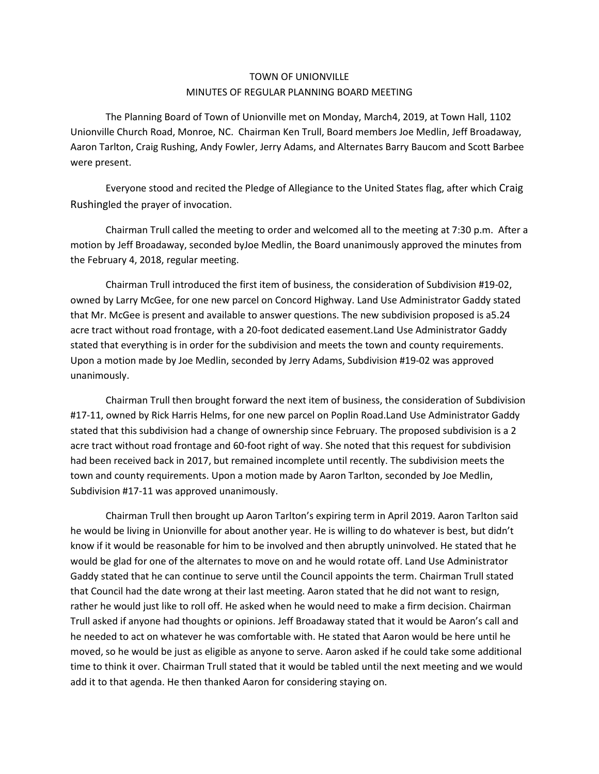## TOWN OF UNIONVILLE MINUTES OF REGULAR PLANNING BOARD MEETING

The Planning Board of Town of Unionville met on Monday, March4, 2019, at Town Hall, 1102 Unionville Church Road, Monroe, NC. Chairman Ken Trull, Board members Joe Medlin, Jeff Broadaway, Aaron Tarlton, Craig Rushing, Andy Fowler, Jerry Adams, and Alternates Barry Baucom and Scott Barbee were present.

Everyone stood and recited the Pledge of Allegiance to the United States flag, after which Craig Rushingled the prayer of invocation.

Chairman Trull called the meeting to order and welcomed all to the meeting at 7:30 p.m. After a motion by Jeff Broadaway, seconded byJoe Medlin, the Board unanimously approved the minutes from the February 4, 2018, regular meeting.

Chairman Trull introduced the first item of business, the consideration of Subdivision #19-02, owned by Larry McGee, for one new parcel on Concord Highway. Land Use Administrator Gaddy stated that Mr. McGee is present and available to answer questions. The new subdivision proposed is a5.24 acre tract without road frontage, with a 20-foot dedicated easement.Land Use Administrator Gaddy stated that everything is in order for the subdivision and meets the town and county requirements. Upon a motion made by Joe Medlin, seconded by Jerry Adams, Subdivision #19-02 was approved unanimously.

Chairman Trull then brought forward the next item of business, the consideration of Subdivision #17-11, owned by Rick Harris Helms, for one new parcel on Poplin Road.Land Use Administrator Gaddy stated that this subdivision had a change of ownership since February. The proposed subdivision is a 2 acre tract without road frontage and 60-foot right of way. She noted that this request for subdivision had been received back in 2017, but remained incomplete until recently. The subdivision meets the town and county requirements. Upon a motion made by Aaron Tarlton, seconded by Joe Medlin, Subdivision #17-11 was approved unanimously.

Chairman Trull then brought up Aaron Tarlton's expiring term in April 2019. Aaron Tarlton said he would be living in Unionville for about another year. He is willing to do whatever is best, but didn't know if it would be reasonable for him to be involved and then abruptly uninvolved. He stated that he would be glad for one of the alternates to move on and he would rotate off. Land Use Administrator Gaddy stated that he can continue to serve until the Council appoints the term. Chairman Trull stated that Council had the date wrong at their last meeting. Aaron stated that he did not want to resign, rather he would just like to roll off. He asked when he would need to make a firm decision. Chairman Trull asked if anyone had thoughts or opinions. Jeff Broadaway stated that it would be Aaron's call and he needed to act on whatever he was comfortable with. He stated that Aaron would be here until he moved, so he would be just as eligible as anyone to serve. Aaron asked if he could take some additional time to think it over. Chairman Trull stated that it would be tabled until the next meeting and we would add it to that agenda. He then thanked Aaron for considering staying on.